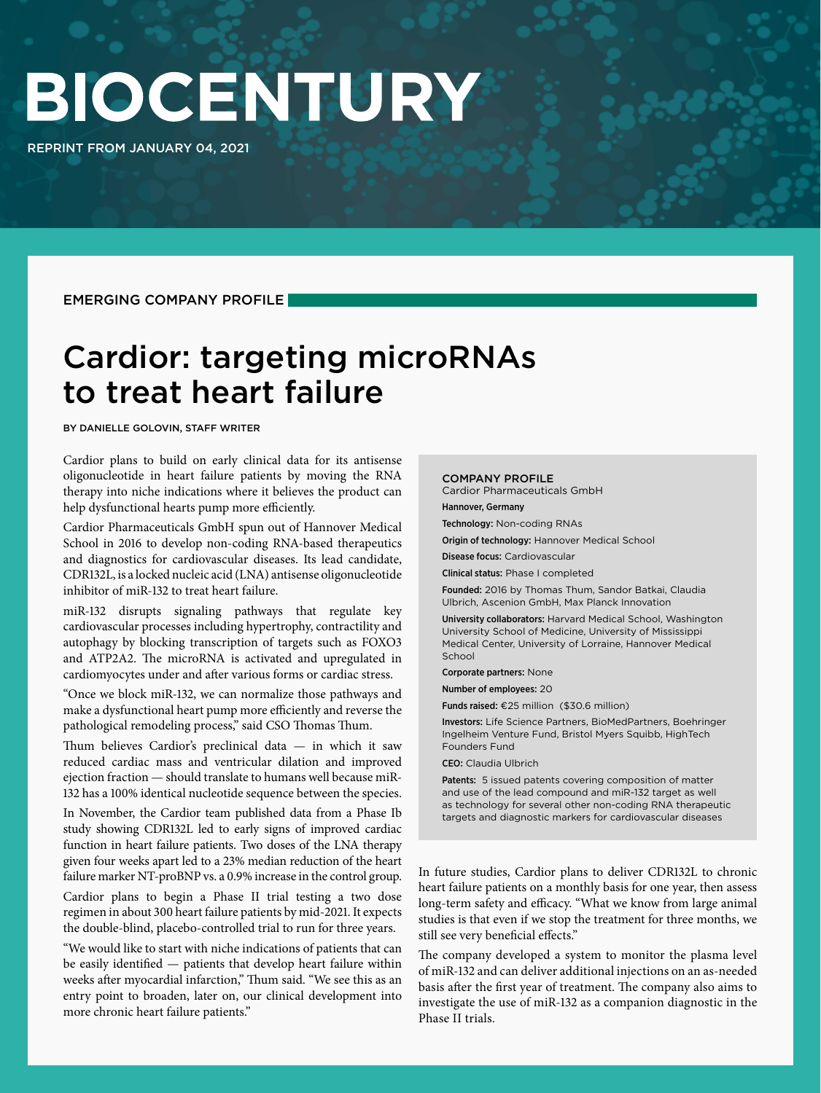# BIOCENTURY

REPRINT FROM JANUARY 04, 2021

EMERGING COMPANY PROFILE

### Cardior: targeting microRNAs to treat heart failure

BY DANIELLE GOLOVIN, STAFF WRITER

Cardior plans to build on early clinical data for its antisense oligonucleotide in heart failure patients by moving the RNA therapy into niche indications where it believes the product can help dysfunctional hearts pump more efficiently.

Cardior Pharmaceuticals GmbH spun out of Hannover Medical School in 2016 to develop non-coding RNA-based therapeutics and diagnostics for cardiovascular diseases. Its lead candidate, CDR132L, is a locked nucleic acid (LNA) antisense oligonucleotide inhibitor of miR-132 to treat heart failure.

miR-132 disrupts signaling pathways that regulate key cardiovascular processes including hypertrophy, contractility and autophagy by blocking transcription of targets such as FOXO3 and ATP2A2. The microRNA is activated and upregulated in cardiomyocytes under and after various forms or cardiac stress.

"Once we block miR-132, we can normalize those pathways and make a dysfunctional heart pump more efficiently and reverse the pathological remodeling process," said CSO Thomas Thum.

Thum believes Cardior's preclinical data — in which it saw reduced cardiac mass and ventricular dilation and improved ejection fraction — should translate to humans well because miR-132 has a 100% identical nucleotide sequence between the species.

In November, the Cardior team published data from a Phase Ib study showing CDR132L led to early signs of improved cardiac function in heart failure patients. Two doses of the LNA therapy given four weeks apart led to a 23% median reduction of the heart failure marker NT-proBNP vs. a 0.9% increase in the control group.

Cardior plans to begin a Phase II trial testing a two dose regimen in about 300 heart failure patients by mid-2021. It expects the double-blind, placebo-controlled trial to run for three years.

"We would like to start with niche indications of patients that can be easily identified — patients that develop heart failure within weeks after myocardial infarction," Thum said. "We see this as an entry point to broaden, later on, our clinical development into more chronic heart failure patients."

#### COMPANY PROFILE

Cardior Pharmaceuticals GmbH

Hannover, Germany

Technology: Non-coding RNAs Origin of technology: Hannover Medical School

Disease focus: Cardiovascular

Clinical status: Phase I completed

Founded: 2016 by Thomas Thum, Sandor Batkai, Claudia Ulbrich, Ascenion GmbH, Max Planck Innovation

University collaborators: Harvard Medical School, Washington University School of Medicine, University of Mississippi Medical Center, University of Lorraine, Hannover Medical School

Corporate partners: None

Number of employees: 20

Funds raised: €25 million (\$30.6 million)

Investors: Life Science Partners, BioMedPartners, Boehringer Ingelheim Venture Fund, Bristol Myers Squibb, HighTech Founders Fund

CEO: Claudia Ulbrich

Patents: 5 issued patents covering composition of matter and use of the lead compound and miR-132 target as well as technology for several other non-coding RNA therapeutic targets and diagnostic markers for cardiovascular diseases

In future studies, Cardior plans to deliver CDR132L to chronic heart failure patients on a monthly basis for one year, then assess long-term safety and efficacy. "What we know from large animal studies is that even if we stop the treatment for three months, we still see very beneficial effects."

The company developed a system to monitor the plasma level of miR-132 and can deliver additional injections on an as-needed basis after the first year of treatment. The company also aims to investigate the use of miR-132 as a companion diagnostic in the Phase II trials.